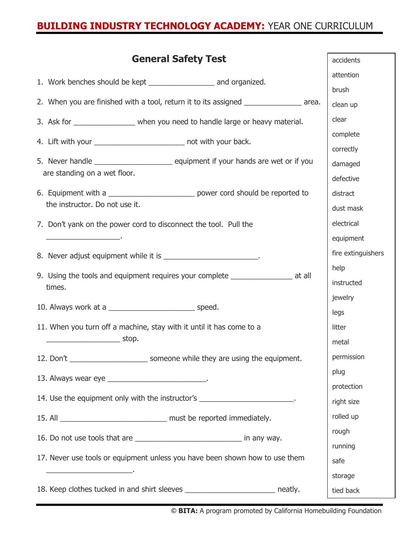## **BUILDING INDUSTRY TECHNOLOGY ACADEMY:** YEAR ONE CURRICULUM

| <b>General Safety Test</b>                                                                                            | accidents          |
|-----------------------------------------------------------------------------------------------------------------------|--------------------|
|                                                                                                                       | attention          |
|                                                                                                                       | brush              |
| 2. When you are finished with a tool, return it to its assigned _______________ area.                                 | clean up           |
| 3. Ask for ___________________ when you need to handle large or heavy material.                                       | clear              |
| 4. Lift with your ________________________________ not with your back.                                                | complete           |
|                                                                                                                       | correctly          |
|                                                                                                                       | damaged            |
| are standing on a wet floor.                                                                                          | defective          |
| 6. Equipment with a _____________________________ power cord should be reported to                                    | distract           |
| the instructor. Do not use it.                                                                                        | dust mask          |
| 7. Don't yank on the power cord to disconnect the tool. Pull the                                                      | electrical         |
| <u> 1989 - Jan James James James James James James James James James James James James James James James James Ja</u> | equipment          |
| 8. Never adjust equipment while it is _________________________.                                                      | fire extinguishers |
|                                                                                                                       | help               |
| 9. Using the tools and equipment requires your complete ________________________ at all<br>times.                     | instructed         |
|                                                                                                                       | jewelry            |
|                                                                                                                       | legs               |
| 11. When you turn off a machine, stay with it until it has come to a                                                  | litter             |
| stop.                                                                                                                 | metal              |
| 12. Don't _________________________________ someone while they are using the equipment.                               | permission         |
| 13. Always wear eye ________________________________.                                                                 | plug               |
|                                                                                                                       | protection         |
| 14. Use the equipment only with the instructor's _________________________.                                           | right size         |
|                                                                                                                       | rolled up          |
| 16. Do not use tools that are __________________________________ in any way.                                          | rough              |
|                                                                                                                       | running            |
| 17. Never use tools or equipment unless you have been shown how to use them                                           | safe               |
| <u> 1989 - Johann John Stone, mensk politik fotograf (d. 1989)</u>                                                    | storage            |
|                                                                                                                       | tied back          |